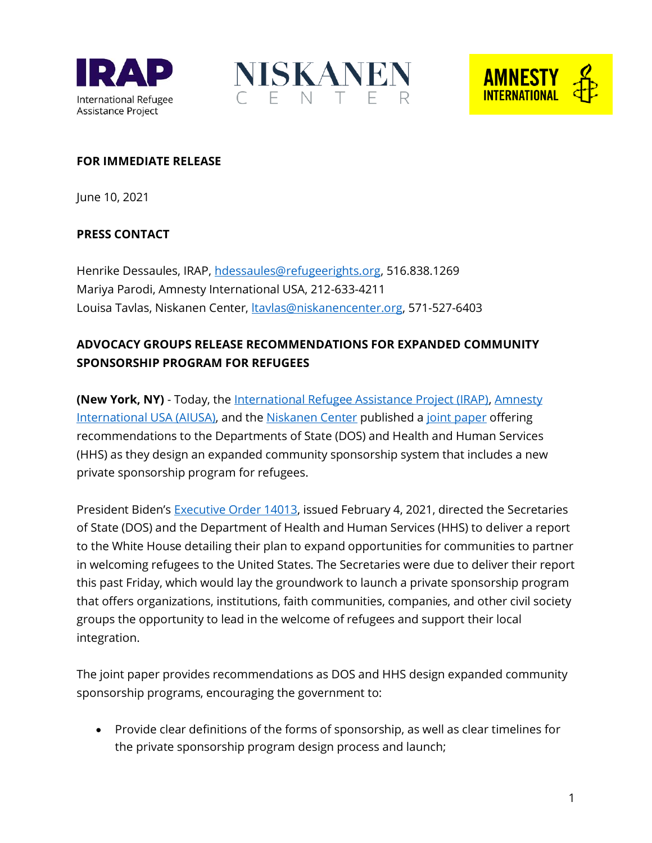





## **FOR IMMEDIATE RELEASE**

June 10, 2021

## **PRESS CONTACT**

Henrike Dessaules, IRAP, [hdessaules@refugeerights.org,](mailto:hdessaules@refugeerights.org) 516.838.1269 Mariya Parodi, Amnesty International USA, 212-633-4211 Louisa Tavlas, Niskanen Center, [ltavlas@niskanencenter.org,](mailto:ltavlas@niskanencenter.org) 571-527-6403

## **ADVOCACY GROUPS RELEASE RECOMMENDATIONS FOR EXPANDED COMMUNITY SPONSORSHIP PROGRAM FOR REFUGEES**

**(New York, NY)** - Today, the [International Refugee Assistance Project \(IRAP\),](mailto:https://refugeerights.org/) [Amnesty](mailto:https://www.amnestyusa.org/)  [International USA \(AIUSA\),](mailto:https://www.amnestyusa.org/) and the [Niskanen Center](mailto:https://www.niskanencenter.org/) published [a joint paper](https://refugeerights.org/wp-content/uploads/2021/06/Recommendations-for-Private-Sponsorship-6-2021.pdf) offering recommendations to the Departments of State (DOS) and Health and Human Services (HHS) as they design an expanded community sponsorship system that includes a new private sponsorship program for refugees.

President Biden's [Executive Order 14013,](mailto:https://www.govinfo.gov/content/pkg/FR-2021-02-09/pdf/2021-02804.pdf) issued February 4, 2021, directed the Secretaries of State (DOS) and the Department of Health and Human Services (HHS) to deliver a report to the White House detailing their plan to expand opportunities for communities to partner in welcoming refugees to the United States. The Secretaries were due to deliver their report this past Friday, which would lay the groundwork to launch a private sponsorship program that offers organizations, institutions, faith communities, companies, and other civil society groups the opportunity to lead in the welcome of refugees and support their local integration.

The joint paper provides recommendations as DOS and HHS design expanded community sponsorship programs, encouraging the government to:

• Provide clear definitions of the forms of sponsorship, as well as clear timelines for the private sponsorship program design process and launch;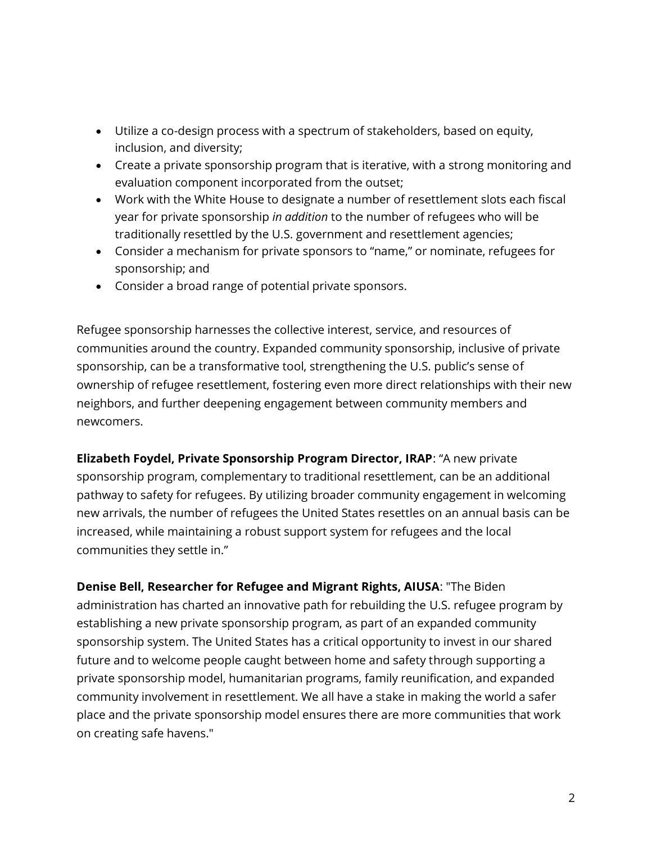- Utilize a co-design process with a spectrum of stakeholders, based on equity, inclusion, and diversity;
- Create a private sponsorship program that is iterative, with a strong monitoring and evaluation component incorporated from the outset;
- Work with the White House to designate a number of resettlement slots each fiscal year for private sponsorship *in addition* to the number of refugees who will be traditionally resettled by the U.S. government and resettlement agencies;
- Consider a mechanism for private sponsors to "name," or nominate, refugees for sponsorship; and
- Consider a broad range of potential private sponsors.

Refugee sponsorship harnesses the collective interest, service, and resources of communities around the country. Expanded community sponsorship, inclusive of private sponsorship, can be a transformative tool, strengthening the U.S. public's sense of ownership of refugee resettlement, fostering even more direct relationships with their new neighbors, and further deepening engagement between community members and newcomers.

**Elizabeth Foydel, Private Sponsorship Program Director, IRAP**: "A new private sponsorship program, complementary to traditional resettlement, can be an additional pathway to safety for refugees. By utilizing broader community engagement in welcoming new arrivals, the number of refugees the United States resettles on an annual basis can be increased, while maintaining a robust support system for refugees and the local communities they settle in."

**Denise Bell, Researcher for Refugee and Migrant Rights, AIUSA**: "The Biden administration has charted an innovative path for rebuilding the U.S. refugee program by establishing a new private sponsorship program, as part of an expanded community sponsorship system. The United States has a critical opportunity to invest in our shared future and to welcome people caught between home and safety through supporting a private sponsorship model, humanitarian programs, family reunification, and expanded community involvement in resettlement. We all have a stake in making the world a safer place and the private sponsorship model ensures there are more communities that work on creating safe havens."